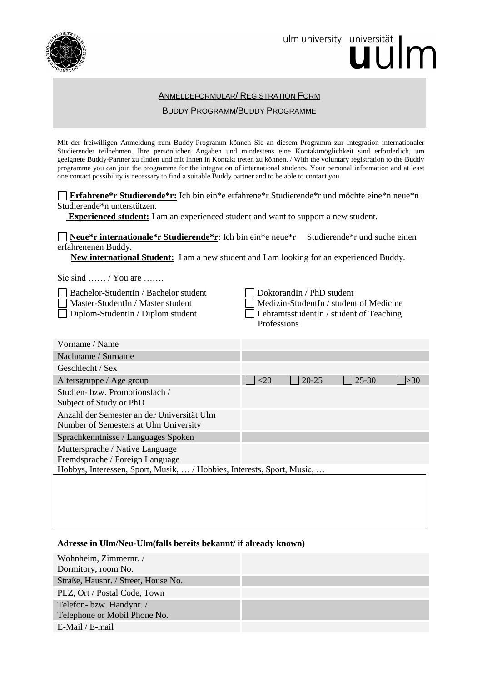

ulm university universität | m

## ANMELDEFORMULAR/ REGISTRATION FORM

### BUDDY PROGRAMM/BUDDY PROGRAMME

Mit der freiwilligen Anmeldung zum Buddy-Programm können Sie an diesem Programm zur Integration internationaler Studierender teilnehmen. Ihre persönlichen Angaben und mindestens eine Kontaktmöglichkeit sind erforderlich, um geeignete Buddy-Partner zu finden und mit Ihnen in Kontakt treten zu können. / With the voluntary registration to the Buddy programme you can join the programme for the integration of international students. Your personal information and at least one contact possibility is necessary to find a suitable Buddy partner and to be able to contact you.

**Erfahrene\*r Studierende\*r:** Ich bin ein\*e erfahrene\*r Studierende\*r und möchte eine\*n neue\*n Studierende\*n unterstützen.

 **Experienced student:** I am an experienced student and want to support a new student.

**Neue\*r internationale\*r Studierende\*r**: Ich bin ein\*e neue\*r Studierende\*r und suche einen erfahrenenen Buddy.

 **New international Student:** I am a new student and I am looking for an experienced Buddy.

Sie sind …… / You are ……

Bachelor-StudentIn / Bachelor student DoktorandIn / PhD student

Master-StudentIn / Master student  $\Box$  Medizin-StudentIn / student of Medicine □ Diplom-StudentIn / Diplom student LehramtsstudentIn / student of Teaching Professions

| Vorname / Name                                                                      |                              |           |           |     |
|-------------------------------------------------------------------------------------|------------------------------|-----------|-----------|-----|
| Nachname / Surname                                                                  |                              |           |           |     |
| Geschlecht / Sex                                                                    |                              |           |           |     |
| Altersgruppe / Age group                                                            | $\vert \vert$ $\vert$ $<$ 20 | $20 - 25$ | $25 - 30$ | >30 |
| Studien- bzw. Promotionsfach /                                                      |                              |           |           |     |
| Subject of Study or PhD                                                             |                              |           |           |     |
| Anzahl der Semester an der Universität Ulm<br>Number of Semesters at Ulm University |                              |           |           |     |
| Sprachkenntnisse / Languages Spoken                                                 |                              |           |           |     |
| Muttersprache / Native Language                                                     |                              |           |           |     |
| Fremdsprache / Foreign Language                                                     |                              |           |           |     |
| Hobbys, Interessen, Sport, Musik,  / Hobbies, Interests, Sport, Music,              |                              |           |           |     |
|                                                                                     |                              |           |           |     |

# **Adresse in Ulm/Neu-Ulm(falls bereits bekannt/ if already known)**

| Wohnheim, Zimmernr. /               |  |
|-------------------------------------|--|
| Dormitory, room No.                 |  |
| Straße, Hausnr. / Street, House No. |  |
| PLZ, Ort / Postal Code, Town        |  |
| Telefon-bzw. Handynr. /             |  |
| Telephone or Mobil Phone No.        |  |
| E-Mail / E-mail                     |  |